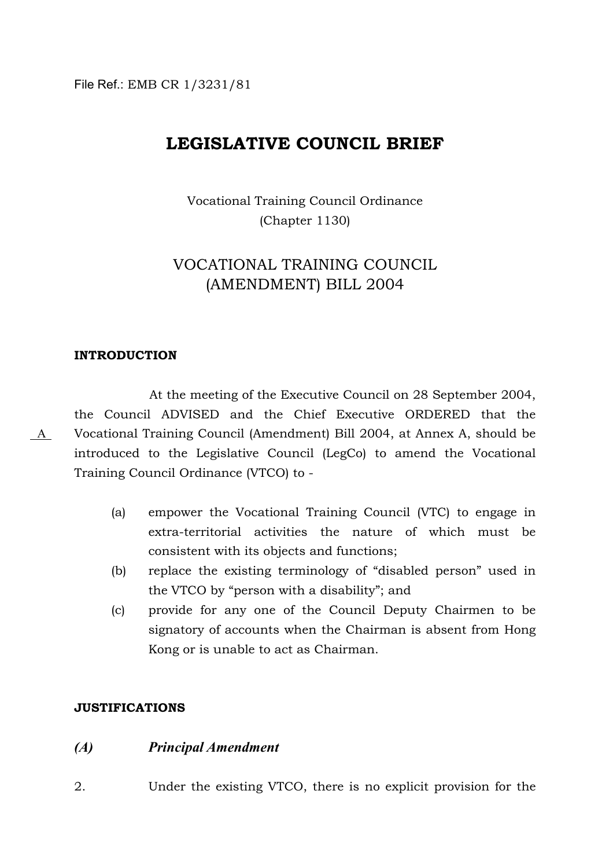File Ref.: EMB CR 1/3231/81

# **LEGISLATIVE COUNCIL BRIEF**

Vocational Training Council Ordinance (Chapter 1130)

# VOCATIONAL TRAINING COUNCIL (AMENDMENT) BILL 2004

#### **INTRODUCTION**

A

At the meeting of the Executive Council on 28 September 2004, the Council ADVISED and the Chief Executive ORDERED that the Vocational Training Council (Amendment) Bill 2004, at Annex A, should be introduced to the Legislative Council (LegCo) to amend the Vocational Training Council Ordinance (VTCO) to -

- (a) empower the Vocational Training Council (VTC) to engage in extra-territorial activities the nature of which must be consistent with its objects and functions;
- (b) replace the existing terminology of "disabled person" used in the VTCO by "person with a disability"; and
- (c) provide for any one of the Council Deputy Chairmen to be signatory of accounts when the Chairman is absent from Hong Kong or is unable to act as Chairman.

#### **JUSTIFICATIONS**

#### *(A) Principal Amendment*

2. Under the existing VTCO, there is no explicit provision for the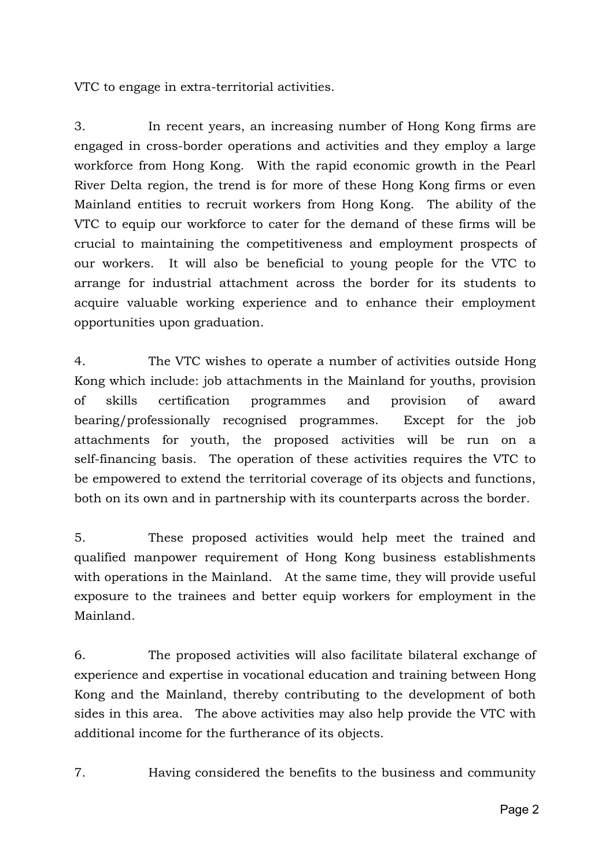VTC to engage in extra-territorial activities.

3. In recent years, an increasing number of Hong Kong firms are engaged in cross-border operations and activities and they employ a large workforce from Hong Kong. With the rapid economic growth in the Pearl River Delta region, the trend is for more of these Hong Kong firms or even Mainland entities to recruit workers from Hong Kong. The ability of the VTC to equip our workforce to cater for the demand of these firms will be crucial to maintaining the competitiveness and employment prospects of our workers. It will also be beneficial to young people for the VTC to arrange for industrial attachment across the border for its students to acquire valuable working experience and to enhance their employment opportunities upon graduation.

4. The VTC wishes to operate a number of activities outside Hong Kong which include: job attachments in the Mainland for youths, provision of skills certification programmes and provision of award bearing/professionally recognised programmes. Except for the job attachments for youth, the proposed activities will be run on a self-financing basis. The operation of these activities requires the VTC to be empowered to extend the territorial coverage of its objects and functions, both on its own and in partnership with its counterparts across the border.

5. These proposed activities would help meet the trained and qualified manpower requirement of Hong Kong business establishments with operations in the Mainland. At the same time, they will provide useful exposure to the trainees and better equip workers for employment in the Mainland.

6. The proposed activities will also facilitate bilateral exchange of experience and expertise in vocational education and training between Hong Kong and the Mainland, thereby contributing to the development of both sides in this area. The above activities may also help provide the VTC with additional income for the furtherance of its objects.

7. Having considered the benefits to the business and community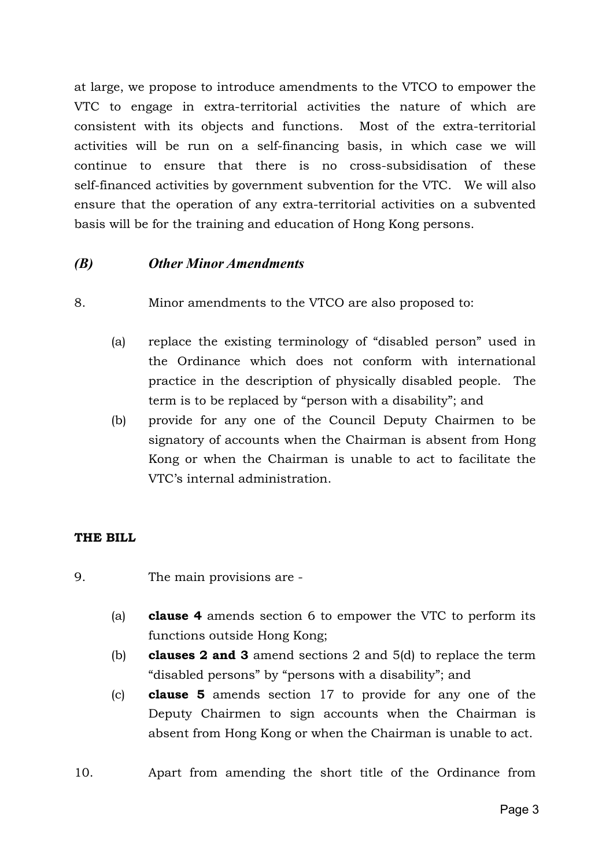at large, we propose to introduce amendments to the VTCO to empower the VTC to engage in extra-territorial activities the nature of which are consistent with its objects and functions. Most of the extra-territorial activities will be run on a self-financing basis, in which case we will continue to ensure that there is no cross-subsidisation of these self-financed activities by government subvention for the VTC. We will also ensure that the operation of any extra-territorial activities on a subvented basis will be for the training and education of Hong Kong persons.

# *(B) Other Minor Amendments*

- 8. Minor amendments to the VTCO are also proposed to:
	- (a) replace the existing terminology of "disabled person" used in the Ordinance which does not conform with international practice in the description of physically disabled people. The term is to be replaced by "person with a disability"; and
	- (b) provide for any one of the Council Deputy Chairmen to be signatory of accounts when the Chairman is absent from Hong Kong or when the Chairman is unable to act to facilitate the VTC's internal administration.

## **THE BILL**

- 9. The main provisions are
	- (a) **clause 4** amends section 6 to empower the VTC to perform its functions outside Hong Kong;
	- (b) **clauses 2 and 3** amend sections 2 and 5(d) to replace the term "disabled persons" by "persons with a disability"; and
	- (c) **clause 5** amends section 17 to provide for any one of the Deputy Chairmen to sign accounts when the Chairman is absent from Hong Kong or when the Chairman is unable to act.
- 10. Apart from amending the short title of the Ordinance from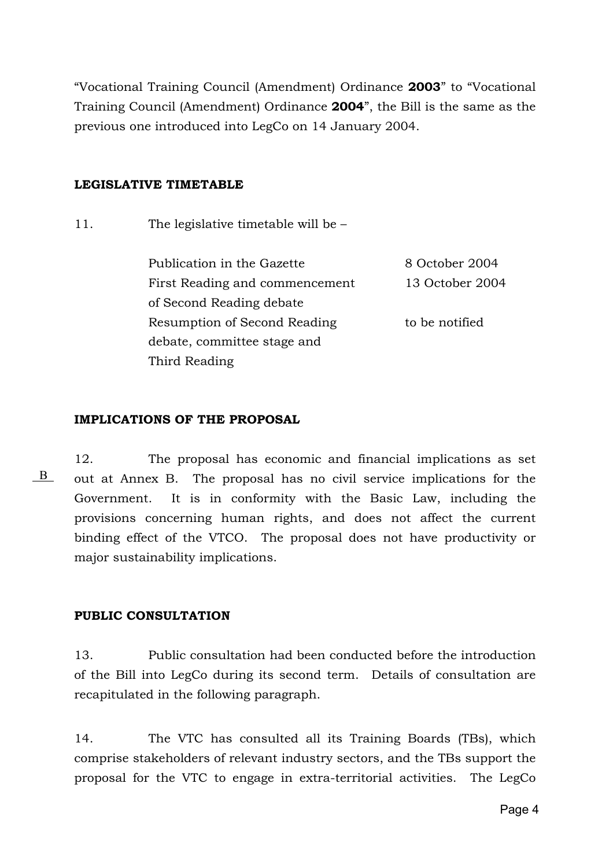"Vocational Training Council (Amendment) Ordinance **2003**" to "Vocational Training Council (Amendment) Ordinance **2004**", the Bill is the same as the previous one introduced into LegCo on 14 January 2004.

### **LEGISLATIVE TIMETABLE**

11. The legislative timetable will be –

Publication in the Gazette 8 October 2004 First Reading and commencement 13 October 2004 of Second Reading debate Resumption of Second Reading to be notified debate, committee stage and Third Reading

### **IMPLICATIONS OF THE PROPOSAL**

B

12. The proposal has economic and financial implications as set out at Annex B. The proposal has no civil service implications for the Government. It is in conformity with the Basic Law, including the provisions concerning human rights, and does not affect the current binding effect of the VTCO. The proposal does not have productivity or major sustainability implications.

### **PUBLIC CONSULTATION**

13. Public consultation had been conducted before the introduction of the Bill into LegCo during its second term. Details of consultation are recapitulated in the following paragraph.

14. The VTC has consulted all its Training Boards (TBs), which comprise stakeholders of relevant industry sectors, and the TBs support the proposal for the VTC to engage in extra-territorial activities. The LegCo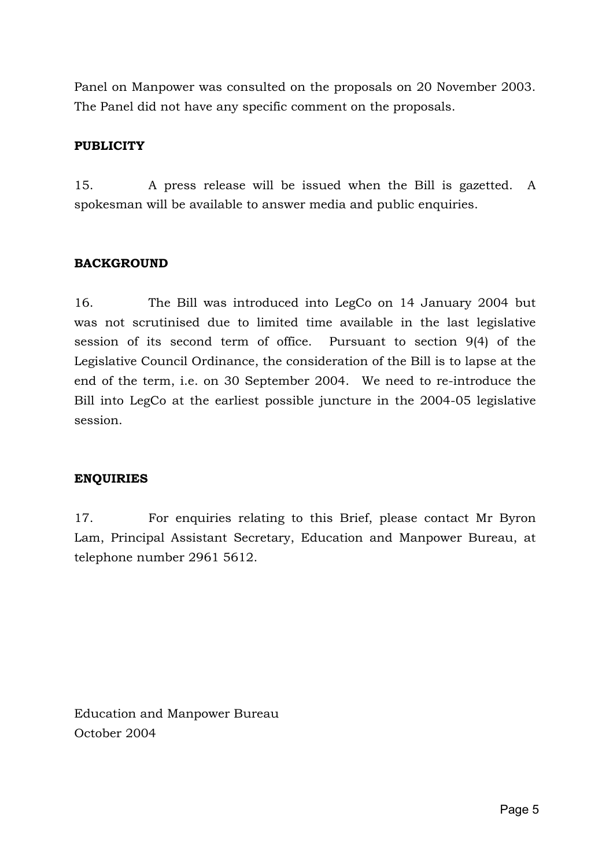Panel on Manpower was consulted on the proposals on 20 November 2003. The Panel did not have any specific comment on the proposals.

# **PUBLICITY**

15. A press release will be issued when the Bill is gazetted. A spokesman will be available to answer media and public enquiries.

## **BACKGROUND**

16. The Bill was introduced into LegCo on 14 January 2004 but was not scrutinised due to limited time available in the last legislative session of its second term of office. Pursuant to section 9(4) of the Legislative Council Ordinance, the consideration of the Bill is to lapse at the end of the term, i.e. on 30 September 2004. We need to re-introduce the Bill into LegCo at the earliest possible juncture in the 2004-05 legislative session.

## **ENQUIRIES**

17. For enquiries relating to this Brief, please contact Mr Byron Lam, Principal Assistant Secretary, Education and Manpower Bureau, at telephone number 2961 5612.

Education and Manpower Bureau October 2004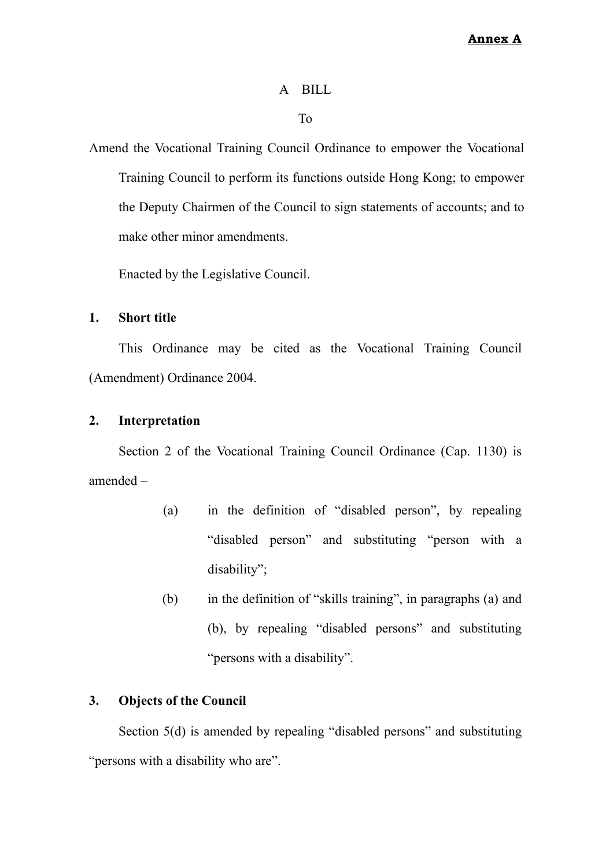### A BILL

To

Amend the Vocational Training Council Ordinance to empower the Vocational Training Council to perform its functions outside Hong Kong; to empower the Deputy Chairmen of the Council to sign statements of accounts; and to make other minor amendments.

Enacted by the Legislative Council.

### **1. Short title**

This Ordinance may be cited as the Vocational Training Council (Amendment) Ordinance 2004.

#### **2. Interpretation**

Section 2 of the Vocational Training Council Ordinance (Cap. 1130) is amended –

- (a) in the definition of "disabled person", by repealing "disabled person" and substituting "person with a disability";
- (b) in the definition of "skills training", in paragraphs (a) and (b), by repealing "disabled persons" and substituting "persons with a disability".

### **3. Objects of the Council**

Section 5(d) is amended by repealing "disabled persons" and substituting "persons with a disability who are".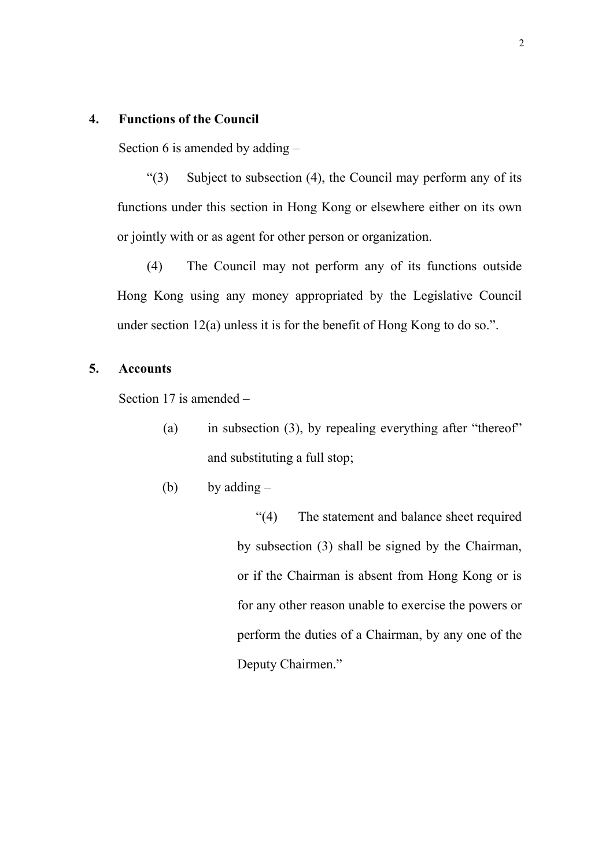### **4. Functions of the Council**

Section 6 is amended by adding –

 $\degree$ (3) Subject to subsection (4), the Council may perform any of its functions under this section in Hong Kong or elsewhere either on its own or jointly with or as agent for other person or organization.

(4) The Council may not perform any of its functions outside Hong Kong using any money appropriated by the Legislative Council under section 12(a) unless it is for the benefit of Hong Kong to do so.".

### **5. Accounts**

Section 17 is amended –

- (a) in subsection (3), by repealing everything after "thereof" and substituting a full stop;
- (b) by adding  $-$

"(4) The statement and balance sheet required by subsection (3) shall be signed by the Chairman, or if the Chairman is absent from Hong Kong or is for any other reason unable to exercise the powers or perform the duties of a Chairman, by any one of the Deputy Chairmen."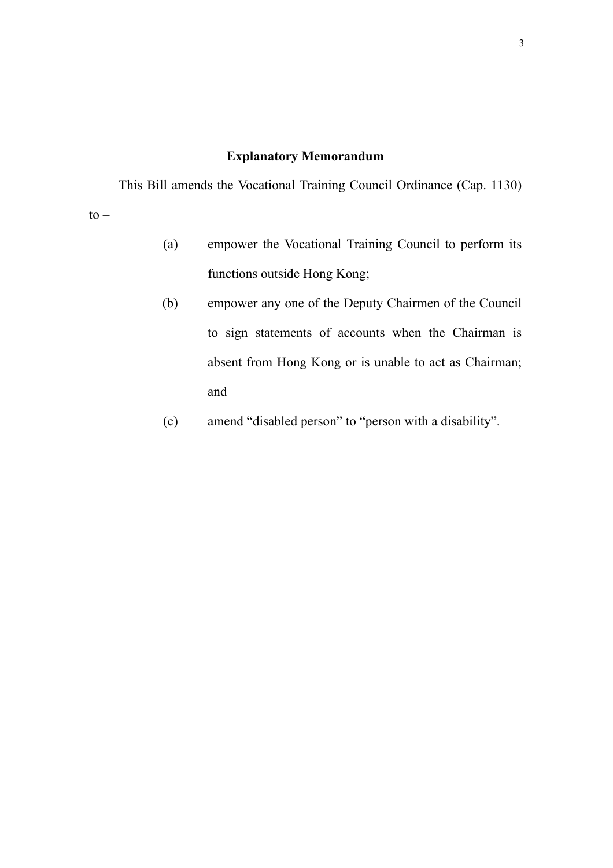# **Explanatory Memorandum**

This Bill amends the Vocational Training Council Ordinance (Cap. 1130)  $to -$ 

- (a) empower the Vocational Training Council to perform its functions outside Hong Kong;
- (b) empower any one of the Deputy Chairmen of the Council to sign statements of accounts when the Chairman is absent from Hong Kong or is unable to act as Chairman; and
- (c) amend "disabled person" to "person with a disability".